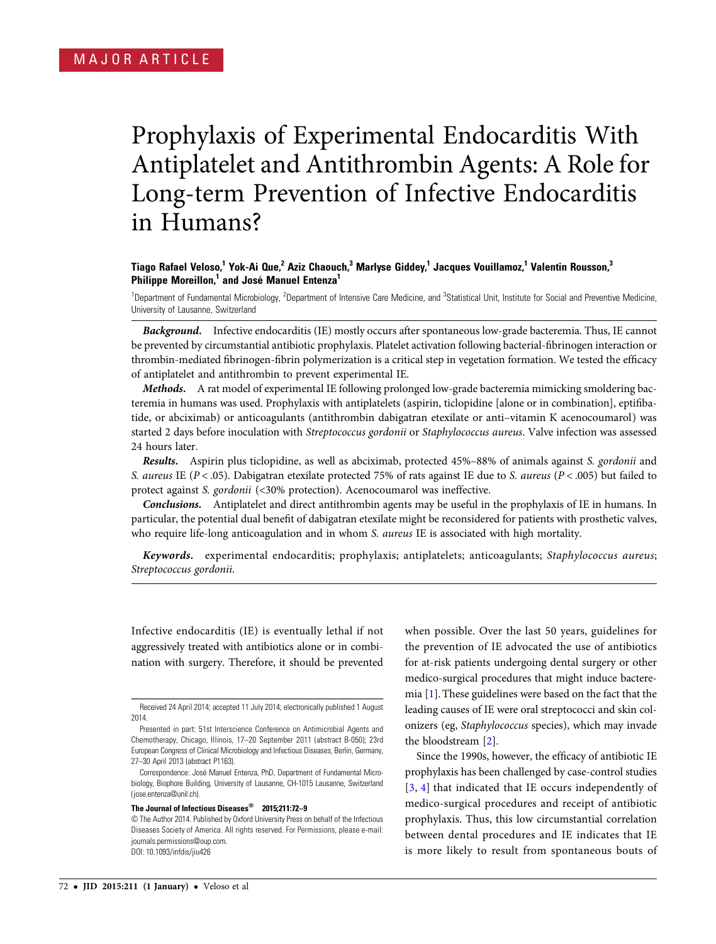# Prophylaxis of Experimental Endocarditis With Antiplatelet and Antithrombin Agents: A Role for Long-term Prevention of Infective Endocarditis in Humans?

## Tiago Rafael Veloso,<sup>1</sup> Yok-Ai Que,<sup>2</sup> Aziz Chaouch,<sup>3</sup> Marlyse Giddey,<sup>1</sup> Jacques Vouillamoz,<sup>1</sup> Valentin Rousson,<sup>3</sup> Philippe Moreillon,<sup>1</sup> and José Manuel Entenza<sup>1</sup>

<sup>1</sup>Department of Fundamental Microbiology, <sup>2</sup>Department of Intensive Care Medicine, and <sup>3</sup>Statistical Unit, Institute for Social and Preventive Medicine, University of Lausanne, Switzerland

Background. Infective endocarditis (IE) mostly occurs after spontaneous low-grade bacteremia. Thus, IE cannot be prevented by circumstantial antibiotic prophylaxis. Platelet activation following bacterial-fibrinogen interaction or thrombin-mediated fibrinogen-fibrin polymerization is a critical step in vegetation formation. We tested the efficacy of antiplatelet and antithrombin to prevent experimental IE.

Methods. A rat model of experimental IE following prolonged low-grade bacteremia mimicking smoldering bacteremia in humans was used. Prophylaxis with antiplatelets (aspirin, ticlopidine [alone or in combination], eptifibatide, or abciximab) or anticoagulants (antithrombin dabigatran etexilate or anti–vitamin K acenocoumarol) was started 2 days before inoculation with Streptococcus gordonii or Staphylococcus aureus. Valve infection was assessed 24 hours later.

Results. Aspirin plus ticlopidine, as well as abciximab, protected 45%–88% of animals against S. gordonii and S. aureus IE ( $P < .05$ ). Dabigatran etexilate protected 75% of rats against IE due to S. aureus ( $P < .005$ ) but failed to protect against S. gordonii (<30% protection). Acenocoumarol was ineffective.

Conclusions. Antiplatelet and direct antithrombin agents may be useful in the prophylaxis of IE in humans. In particular, the potential dual benefit of dabigatran etexilate might be reconsidered for patients with prosthetic valves, who require life-long anticoagulation and in whom S. aureus IE is associated with high mortality.

Keywords. experimental endocarditis; prophylaxis; antiplatelets; anticoagulants; Staphylococcus aureus; Streptococcus gordonii.

Infective endocarditis (IE) is eventually lethal if not aggressively treated with antibiotics alone or in combination with surgery. Therefore, it should be prevented

#### The Journal of Infectious Diseases® 2015;211:72–9

when possible. Over the last 50 years, guidelines for the prevention of IE advocated the use of antibiotics for at-risk patients undergoing dental surgery or other medico-surgical procedures that might induce bacteremia [[1](#page-6-0)]. These guidelines were based on the fact that the leading causes of IE were oral streptococci and skin colonizers (eg, Staphylococcus species), which may invade the bloodstream [[2](#page-6-0)].

Since the 1990s, however, the efficacy of antibiotic IE prophylaxis has been challenged by case-control studies [\[3](#page-6-0), [4\]](#page-6-0) that indicated that IE occurs independently of medico-surgical procedures and receipt of antibiotic prophylaxis. Thus, this low circumstantial correlation between dental procedures and IE indicates that IE is more likely to result from spontaneous bouts of

Received 24 April 2014; accepted 11 July 2014; electronically published 1 August 2014.

Presented in part: 51st Interscience Conference on Antimicrobial Agents and Chemotherapy, Chicago, Illinois, 17–20 September 2011 (abstract B-050); 23rd European Congress of Clinical Microbiology and Infectious Diseases, Berlin, Germany, 27–30 April 2013 (abstract P1163).

Correspondence: José Manuel Entenza, PhD, Department of Fundamental Microbiology, Biophore Building, University of Lausanne, CH-1015 Lausanne, Switzerland [\(jose.entenza@unil.ch\)](mailto:jose.entenza@unil.ch).

<sup>©</sup> The Author 2014. Published by Oxford University Press on behalf of the Infectious Diseases Society of America. All rights reserved. For Permissions, please e-mail: [journals.permissions@oup.com](mailto:journals.permissions@oup.com). DOI: 10.1093/infdis/jiu426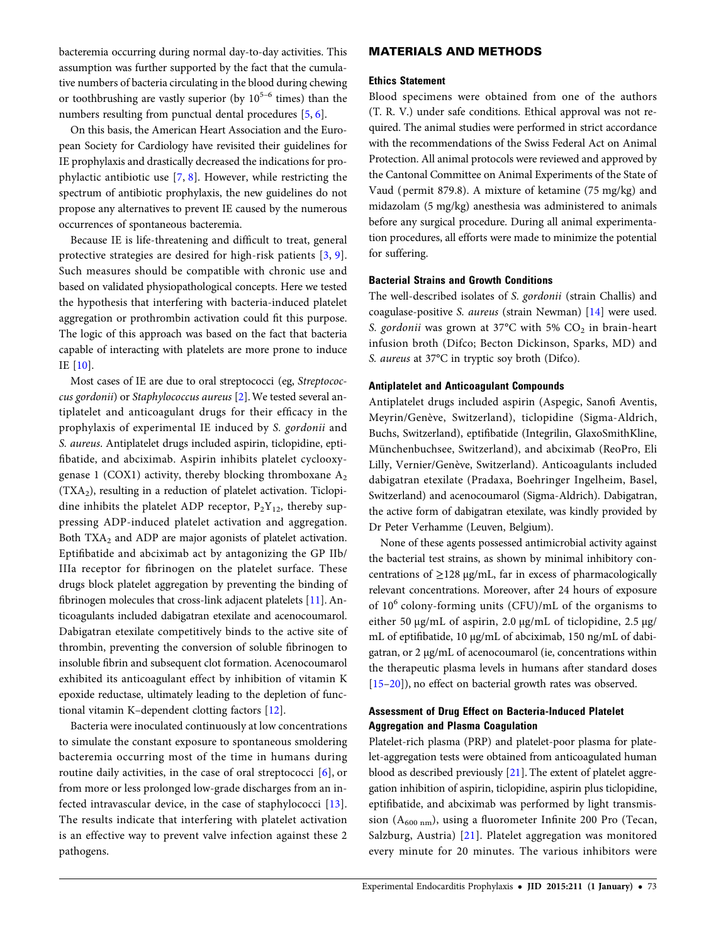bacteremia occurring during normal day-to-day activities. This assumption was further supported by the fact that the cumulative numbers of bacteria circulating in the blood during chewing or toothbrushing are vastly superior (by  $10^{5-6}$  times) than the numbers resulting from punctual dental procedures [[5](#page-6-0), [6\]](#page-6-0).

On this basis, the American Heart Association and the European Society for Cardiology have revisited their guidelines for IE prophylaxis and drastically decreased the indications for prophylactic antibiotic use [[7](#page-6-0), [8\]](#page-6-0). However, while restricting the spectrum of antibiotic prophylaxis, the new guidelines do not propose any alternatives to prevent IE caused by the numerous occurrences of spontaneous bacteremia.

Because IE is life-threatening and difficult to treat, general protective strategies are desired for high-risk patients [\[3,](#page-6-0) [9](#page-6-0)]. Such measures should be compatible with chronic use and based on validated physiopathological concepts. Here we tested the hypothesis that interfering with bacteria-induced platelet aggregation or prothrombin activation could fit this purpose. The logic of this approach was based on the fact that bacteria capable of interacting with platelets are more prone to induce IE [[10\]](#page-6-0).

Most cases of IE are due to oral streptococci (eg, Streptococcus gordonii) or Staphylococcus aureus [[2](#page-6-0)].We tested several antiplatelet and anticoagulant drugs for their efficacy in the prophylaxis of experimental IE induced by S. gordonii and S. aureus. Antiplatelet drugs included aspirin, ticlopidine, eptifibatide, and abciximab. Aspirin inhibits platelet cyclooxygenase 1 (COX1) activity, thereby blocking thromboxane  $A_2$  $(TXA<sub>2</sub>)$ , resulting in a reduction of platelet activation. Ticlopidine inhibits the platelet ADP receptor,  $P_2Y_{12}$ , thereby suppressing ADP-induced platelet activation and aggregation. Both TXA<sub>2</sub> and ADP are major agonists of platelet activation. Eptifibatide and abciximab act by antagonizing the GP IIb/ IIIa receptor for fibrinogen on the platelet surface. These drugs block platelet aggregation by preventing the binding of fibrinogen molecules that cross-link adjacent platelets [[11\]](#page-6-0). Anticoagulants included dabigatran etexilate and acenocoumarol. Dabigatran etexilate competitively binds to the active site of thrombin, preventing the conversion of soluble fibrinogen to insoluble fibrin and subsequent clot formation. Acenocoumarol exhibited its anticoagulant effect by inhibition of vitamin K epoxide reductase, ultimately leading to the depletion of functional vitamin K–dependent clotting factors [[12\]](#page-6-0).

Bacteria were inoculated continuously at low concentrations to simulate the constant exposure to spontaneous smoldering bacteremia occurring most of the time in humans during routine daily activities, in the case of oral streptococci [\[6\]](#page-6-0), or from more or less prolonged low-grade discharges from an infected intravascular device, in the case of staphylococci [\[13](#page-6-0)]. The results indicate that interfering with platelet activation is an effective way to prevent valve infection against these 2 pathogens.

## MATERIALS AND METHODS

#### Ethics Statement

Blood specimens were obtained from one of the authors (T. R. V.) under safe conditions. Ethical approval was not required. The animal studies were performed in strict accordance with the recommendations of the Swiss Federal Act on Animal Protection. All animal protocols were reviewed and approved by the Cantonal Committee on Animal Experiments of the State of Vaud ( permit 879.8). A mixture of ketamine (75 mg/kg) and midazolam (5 mg/kg) anesthesia was administered to animals before any surgical procedure. During all animal experimentation procedures, all efforts were made to minimize the potential for suffering.

#### Bacterial Strains and Growth Conditions

The well-described isolates of S. gordonii (strain Challis) and coagulase-positive S. aureus (strain Newman) [[14](#page-6-0)] were used. S. gordonii was grown at 37°C with 5%  $CO<sub>2</sub>$  in brain-heart infusion broth (Difco; Becton Dickinson, Sparks, MD) and S. aureus at 37°C in tryptic soy broth (Difco).

#### Antiplatelet and Anticoagulant Compounds

Antiplatelet drugs included aspirin (Aspegic, Sanofi Aventis, Meyrin/Genève, Switzerland), ticlopidine (Sigma-Aldrich, Buchs, Switzerland), eptifibatide (Integrilin, GlaxoSmithKline, Münchenbuchsee, Switzerland), and abciximab (ReoPro, Eli Lilly, Vernier/Genève, Switzerland). Anticoagulants included dabigatran etexilate (Pradaxa, Boehringer Ingelheim, Basel, Switzerland) and acenocoumarol (Sigma-Aldrich). Dabigatran, the active form of dabigatran etexilate, was kindly provided by Dr Peter Verhamme (Leuven, Belgium).

None of these agents possessed antimicrobial activity against the bacterial test strains, as shown by minimal inhibitory concentrations of  $\geq$ 128 µg/mL, far in excess of pharmacologically relevant concentrations. Moreover, after 24 hours of exposure of  $10^6$  colony-forming units (CFU)/mL of the organisms to either 50 µg/mL of aspirin, 2.0 µg/mL of ticlopidine, 2.5 µg/ mL of eptifibatide, 10 µg/mL of abciximab, 150 ng/mL of dabigatran, or 2 µg/mL of acenocoumarol (ie, concentrations within the therapeutic plasma levels in humans after standard doses [\[15](#page-6-0)–[20](#page-6-0)]), no effect on bacterial growth rates was observed.

## Assessment of Drug Effect on Bacteria-Induced Platelet Aggregation and Plasma Coagulation

Platelet-rich plasma (PRP) and platelet-poor plasma for platelet-aggregation tests were obtained from anticoagulated human blood as described previously [[21](#page-6-0)]. The extent of platelet aggregation inhibition of aspirin, ticlopidine, aspirin plus ticlopidine, eptifibatide, and abciximab was performed by light transmission  $(A_{600 \text{ nm}})$ , using a fluorometer Infinite 200 Pro (Tecan, Salzburg, Austria) [[21\]](#page-6-0). Platelet aggregation was monitored every minute for 20 minutes. The various inhibitors were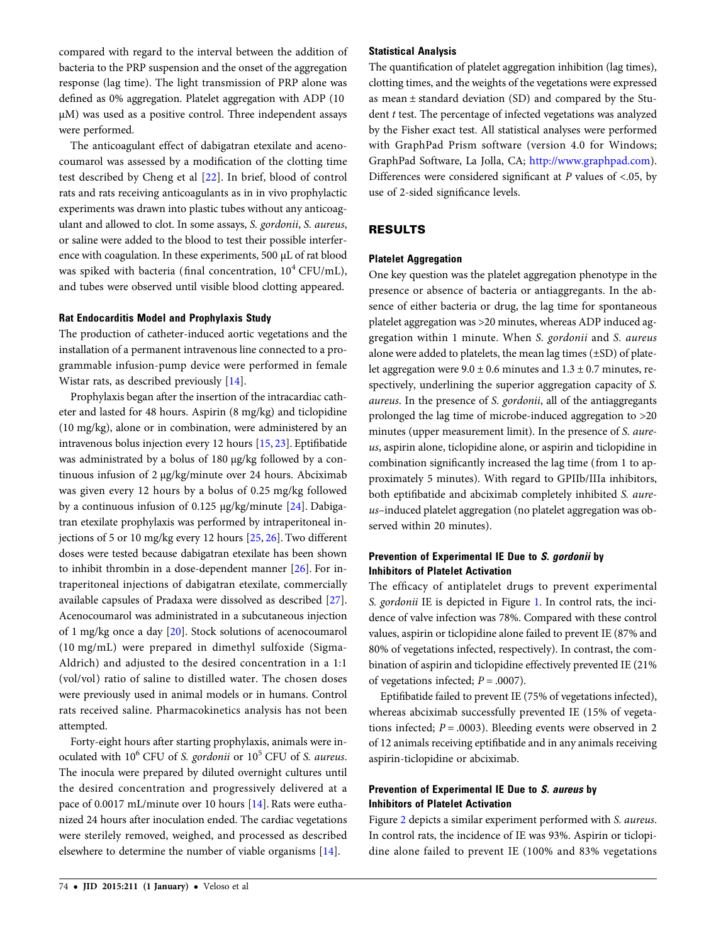compared with regard to the interval between the addition of bacteria to the PRP suspension and the onset of the aggregation response (lag time). The light transmission of PRP alone was defined as 0% aggregation. Platelet aggregation with ADP (10 µM) was used as a positive control. Three independent assays were performed.

The anticoagulant effect of dabigatran etexilate and acenocoumarol was assessed by a modification of the clotting time test described by Cheng et al [\[22\]](#page-6-0). In brief, blood of control rats and rats receiving anticoagulants as in in vivo prophylactic experiments was drawn into plastic tubes without any anticoagulant and allowed to clot. In some assays, S. gordonii, S. aureus, or saline were added to the blood to test their possible interference with coagulation. In these experiments, 500 µL of rat blood was spiked with bacteria (final concentration,  $10^4$  CFU/mL), and tubes were observed until visible blood clotting appeared.

#### Rat Endocarditis Model and Prophylaxis Study

The production of catheter-induced aortic vegetations and the installation of a permanent intravenous line connected to a programmable infusion-pump device were performed in female Wistar rats, as described previously [[14](#page-6-0)].

Prophylaxis began after the insertion of the intracardiac catheter and lasted for 48 hours. Aspirin (8 mg/kg) and ticlopidine (10 mg/kg), alone or in combination, were administered by an intravenous bolus injection every 12 hours [\[15](#page-6-0), [23](#page-6-0)]. Eptifibatide was administrated by a bolus of 180 µg/kg followed by a continuous infusion of 2 µg/kg/minute over 24 hours. Abciximab was given every 12 hours by a bolus of 0.25 mg/kg followed by a continuous infusion of 0.125 µg/kg/minute [[24\]](#page-6-0). Dabigatran etexilate prophylaxis was performed by intraperitoneal injections of 5 or 10 mg/kg every 12 hours [\[25,](#page-6-0) [26](#page-6-0)]. Two different doses were tested because dabigatran etexilate has been shown to inhibit thrombin in a dose-dependent manner [\[26](#page-6-0)]. For intraperitoneal injections of dabigatran etexilate, commercially available capsules of Pradaxa were dissolved as described [\[27\]](#page-6-0). Acenocoumarol was administrated in a subcutaneous injection of 1 mg/kg once a day [\[20](#page-6-0)]. Stock solutions of acenocoumarol (10 mg/mL) were prepared in dimethyl sulfoxide (Sigma-Aldrich) and adjusted to the desired concentration in a 1:1 (vol/vol) ratio of saline to distilled water. The chosen doses were previously used in animal models or in humans. Control rats received saline. Pharmacokinetics analysis has not been attempted.

Forty-eight hours after starting prophylaxis, animals were inoculated with  $10^6$  CFU of S. gordonii or  $10^5$  CFU of S. aureus. The inocula were prepared by diluted overnight cultures until the desired concentration and progressively delivered at a pace of 0.0017 mL/minute over 10 hours [[14\]](#page-6-0). Rats were euthanized 24 hours after inoculation ended. The cardiac vegetations were sterilely removed, weighed, and processed as described elsewhere to determine the number of viable organisms [[14](#page-6-0)].

#### Statistical Analysis

The quantification of platelet aggregation inhibition (lag times), clotting times, and the weights of the vegetations were expressed as mean ± standard deviation (SD) and compared by the Student  $t$  test. The percentage of infected vegetations was analyzed by the Fisher exact test. All statistical analyses were performed with GraphPad Prism software (version 4.0 for Windows; GraphPad Software, La Jolla, CA; <http://www.graphpad.com>). Differences were considered significant at  $P$  values of <.05, by use of 2-sided significance levels.

## RESULTS

#### Platelet Aggregation

One key question was the platelet aggregation phenotype in the presence or absence of bacteria or antiaggregants. In the absence of either bacteria or drug, the lag time for spontaneous platelet aggregation was >20 minutes, whereas ADP induced aggregation within 1 minute. When S. gordonii and S. aureus alone were added to platelets, the mean lag times (±SD) of platelet aggregation were  $9.0 \pm 0.6$  minutes and  $1.3 \pm 0.7$  minutes, respectively, underlining the superior aggregation capacity of S. aureus. In the presence of S. gordonii, all of the antiaggregants prolonged the lag time of microbe-induced aggregation to >20 minutes (upper measurement limit). In the presence of S. aureus, aspirin alone, ticlopidine alone, or aspirin and ticlopidine in combination significantly increased the lag time (from 1 to approximately 5 minutes). With regard to GPIIb/IIIa inhibitors, both eptifibatide and abciximab completely inhibited S. aureus–induced platelet aggregation (no platelet aggregation was observed within 20 minutes).

## Prevention of Experimental IE Due to S. gordonii by Inhibitors of Platelet Activation

The efficacy of antiplatelet drugs to prevent experimental S. gordonii IE is depicted in Figure [1](#page-3-0). In control rats, the incidence of valve infection was 78%. Compared with these control values, aspirin or ticlopidine alone failed to prevent IE (87% and 80% of vegetations infected, respectively). In contrast, the combination of aspirin and ticlopidine effectively prevented IE (21% of vegetations infected;  $P = .0007$ ).

Eptifibatide failed to prevent IE (75% of vegetations infected), whereas abciximab successfully prevented IE (15% of vegetations infected;  $P = .0003$ ). Bleeding events were observed in 2 of 12 animals receiving eptifibatide and in any animals receiving aspirin-ticlopidine or abciximab.

## Prevention of Experimental IE Due to S. aureus by Inhibitors of Platelet Activation

Figure [2](#page-3-0) depicts a similar experiment performed with S. aureus. In control rats, the incidence of IE was 93%. Aspirin or ticlopidine alone failed to prevent IE (100% and 83% vegetations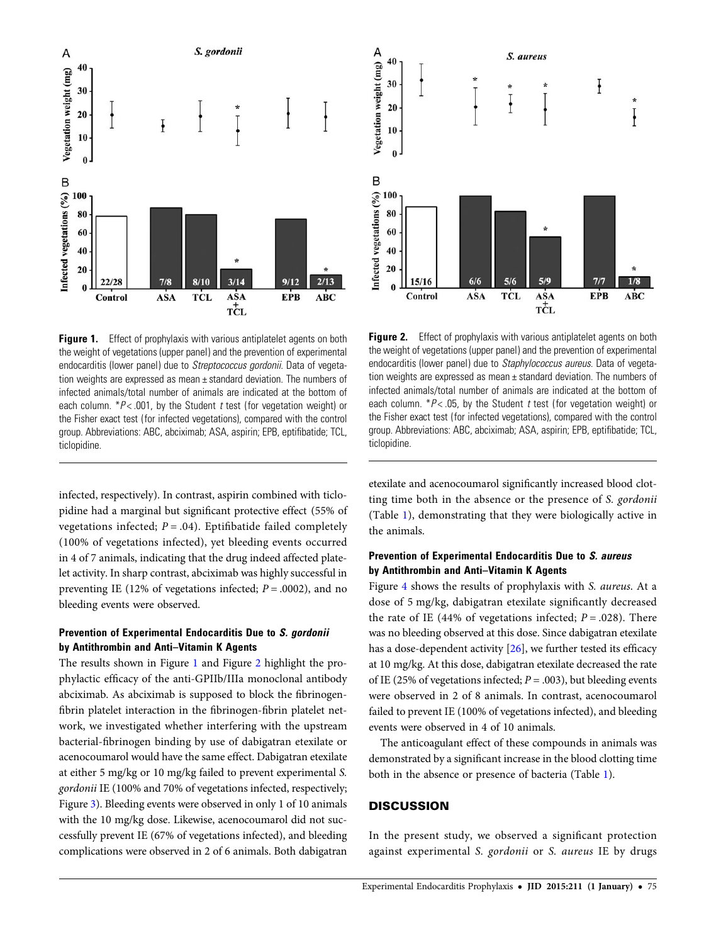<span id="page-3-0"></span>

Figure 1. Effect of prophylaxis with various antiplatelet agents on both the weight of vegetations (upper panel) and the prevention of experimental endocarditis (lower panel) due to Streptococcus gordonii. Data of vegetation weights are expressed as mean ± standard deviation. The numbers of infected animals/total number of animals are indicated at the bottom of each column.  $*P$  < .001, by the Student t test (for vegetation weight) or the Fisher exact test (for infected vegetations), compared with the control group. Abbreviations: ABC, abciximab; ASA, aspirin; EPB, eptifibatide; TCL, ticlopidine.

infected, respectively). In contrast, aspirin combined with ticlopidine had a marginal but significant protective effect (55% of vegetations infected;  $P = .04$ ). Eptifibatide failed completely (100% of vegetations infected), yet bleeding events occurred in 4 of 7 animals, indicating that the drug indeed affected platelet activity. In sharp contrast, abciximab was highly successful in preventing IE (12% of vegetations infected;  $P = .0002$ ), and no bleeding events were observed.

### Prevention of Experimental Endocarditis Due to S. gordonii by Antithrombin and Anti–Vitamin K Agents

The results shown in Figure 1 and Figure 2 highlight the prophylactic efficacy of the anti-GPIIb/IIIa monoclonal antibody abciximab. As abciximab is supposed to block the fibrinogenfibrin platelet interaction in the fibrinogen-fibrin platelet network, we investigated whether interfering with the upstream bacterial-fibrinogen binding by use of dabigatran etexilate or acenocoumarol would have the same effect. Dabigatran etexilate at either 5 mg/kg or 10 mg/kg failed to prevent experimental S. gordonii IE (100% and 70% of vegetations infected, respectively; Figure [3\)](#page-4-0). Bleeding events were observed in only 1 of 10 animals with the 10 mg/kg dose. Likewise, acenocoumarol did not successfully prevent IE (67% of vegetations infected), and bleeding complications were observed in 2 of 6 animals. Both dabigatran



**Figure 2.** Effect of prophylaxis with various antiplatelet agents on both the weight of vegetations (upper panel) and the prevention of experimental endocarditis (lower panel) due to Staphylococcus aureus. Data of vegetation weights are expressed as mean ± standard deviation. The numbers of infected animals/total number of animals are indicated at the bottom of each column.  $*P$  < .05, by the Student t test (for vegetation weight) or the Fisher exact test (for infected vegetations), compared with the control group. Abbreviations: ABC, abciximab; ASA, aspirin; EPB, eptifibatide; TCL, ticlopidine.

etexilate and acenocoumarol significantly increased blood clotting time both in the absence or the presence of S. gordonii (Table [1](#page-4-0)), demonstrating that they were biologically active in the animals.

## Prevention of Experimental Endocarditis Due to S. aureus by Antithrombin and Anti–Vitamin K Agents

Figure [4](#page-4-0) shows the results of prophylaxis with S. aureus. At a dose of 5 mg/kg, dabigatran etexilate significantly decreased the rate of IE (44% of vegetations infected;  $P = .028$ ). There was no bleeding observed at this dose. Since dabigatran etexilate has a dose-dependent activity [\[26](#page-6-0)], we further tested its efficacy at 10 mg/kg. At this dose, dabigatran etexilate decreased the rate of IE (25% of vegetations infected;  $P = .003$ ), but bleeding events were observed in 2 of 8 animals. In contrast, acenocoumarol failed to prevent IE (100% of vegetations infected), and bleeding events were observed in 4 of 10 animals.

The anticoagulant effect of these compounds in animals was demonstrated by a significant increase in the blood clotting time both in the absence or presence of bacteria (Table [1\)](#page-4-0).

#### **DISCUSSION**

In the present study, we observed a significant protection against experimental S. gordonii or S. aureus IE by drugs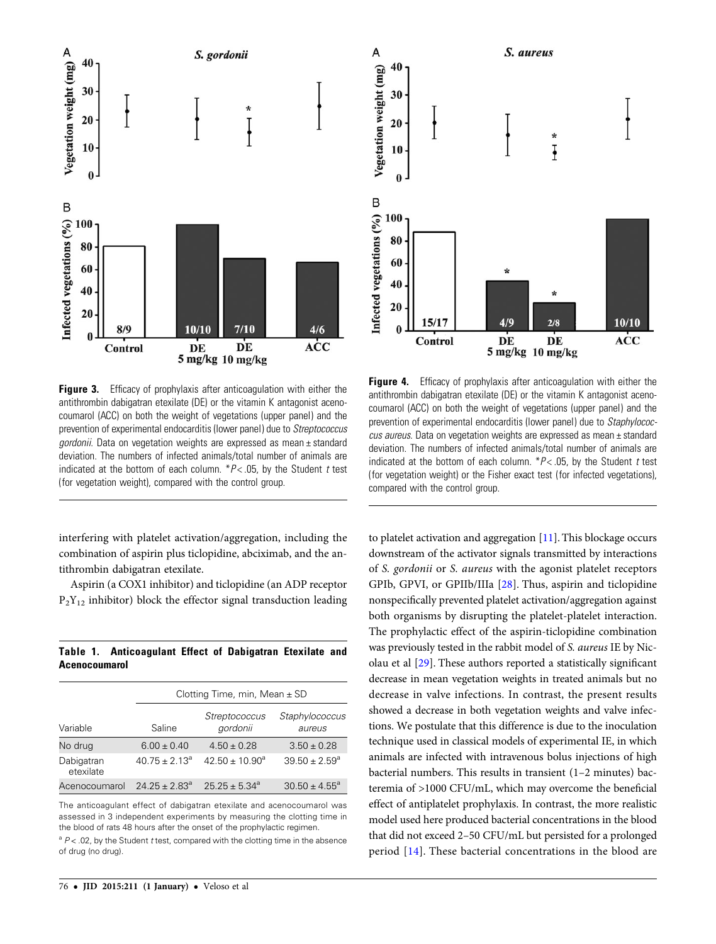<span id="page-4-0"></span>

**Figure 3.** Efficacy of prophylaxis after anticoagulation with either the antithrombin dabigatran etexilate (DE) or the vitamin K antagonist acenocoumarol (ACC) on both the weight of vegetations (upper panel) and the prevention of experimental endocarditis (lower panel) due to Streptococcus gordonii. Data on vegetation weights are expressed as mean  $\pm$  standard deviation. The numbers of infected animals/total number of animals are indicated at the bottom of each column.  $*P < .05$ , by the Student t test (for vegetation weight), compared with the control group.

interfering with platelet activation/aggregation, including the combination of aspirin plus ticlopidine, abciximab, and the antithrombin dabigatran etexilate.

Aspirin (a COX1 inhibitor) and ticlopidine (an ADP receptor  $P_2Y_{12}$  inhibitor) block the effector signal transduction leading

Table 1. Anticoagulant Effect of Dabigatran Etexilate and Acenocoumarol

|                         | Clotting Time, min, Mean $\pm$ SD |                                  |                          |
|-------------------------|-----------------------------------|----------------------------------|--------------------------|
| Variable                | Saline                            | <b>Streptococcus</b><br>gordonii | Staphylococcus<br>aureus |
| No drug                 | $6.00 \pm 0.40$                   | $4.50 \pm 0.28$                  | $3.50 \pm 0.28$          |
| Dabigatran<br>etexilate | $40.75 \pm 2.13^a$                | $42.50 \pm 10.90^a$              | $39.50 \pm 2.59^{\circ}$ |
| Acenocoumarol           | $24.25 \pm 2.83^a$                | $25.25 \pm 5.34^a$               | $30.50 \pm 4.55^{\circ}$ |

The anticoagulant effect of dabigatran etexilate and acenocoumarol was assessed in 3 independent experiments by measuring the clotting time in the blood of rats 48 hours after the onset of the prophylactic regimen.

 $a^2 P$  < .02, by the Student t test, compared with the clotting time in the absence of drug (no drug).



**Figure 4.** Efficacy of prophylaxis after anticoagulation with either the antithrombin dabigatran etexilate (DE) or the vitamin K antagonist acenocoumarol (ACC) on both the weight of vegetations (upper panel) and the prevention of experimental endocarditis (lower panel) due to Staphylococcus aureus. Data on vegetation weights are expressed as mean ± standard deviation. The numbers of infected animals/total number of animals are indicated at the bottom of each column.  $*P < .05$ , by the Student t test (for vegetation weight) or the Fisher exact test (for infected vegetations), compared with the control group.

to platelet activation and aggregation [\[11](#page-6-0)]. This blockage occurs downstream of the activator signals transmitted by interactions of S. gordonii or S. aureus with the agonist platelet receptors GPIb, GPVI, or GPIIb/IIIa [\[28](#page-6-0)]. Thus, aspirin and ticlopidine nonspecifically prevented platelet activation/aggregation against both organisms by disrupting the platelet-platelet interaction. The prophylactic effect of the aspirin-ticlopidine combination was previously tested in the rabbit model of S. aureus IE by Nicolau et al [\[29](#page-6-0)]. These authors reported a statistically significant decrease in mean vegetation weights in treated animals but no decrease in valve infections. In contrast, the present results showed a decrease in both vegetation weights and valve infections. We postulate that this difference is due to the inoculation technique used in classical models of experimental IE, in which animals are infected with intravenous bolus injections of high bacterial numbers. This results in transient (1–2 minutes) bacteremia of >1000 CFU/mL, which may overcome the beneficial effect of antiplatelet prophylaxis. In contrast, the more realistic model used here produced bacterial concentrations in the blood that did not exceed 2–50 CFU/mL but persisted for a prolonged period [\[14\]](#page-6-0). These bacterial concentrations in the blood are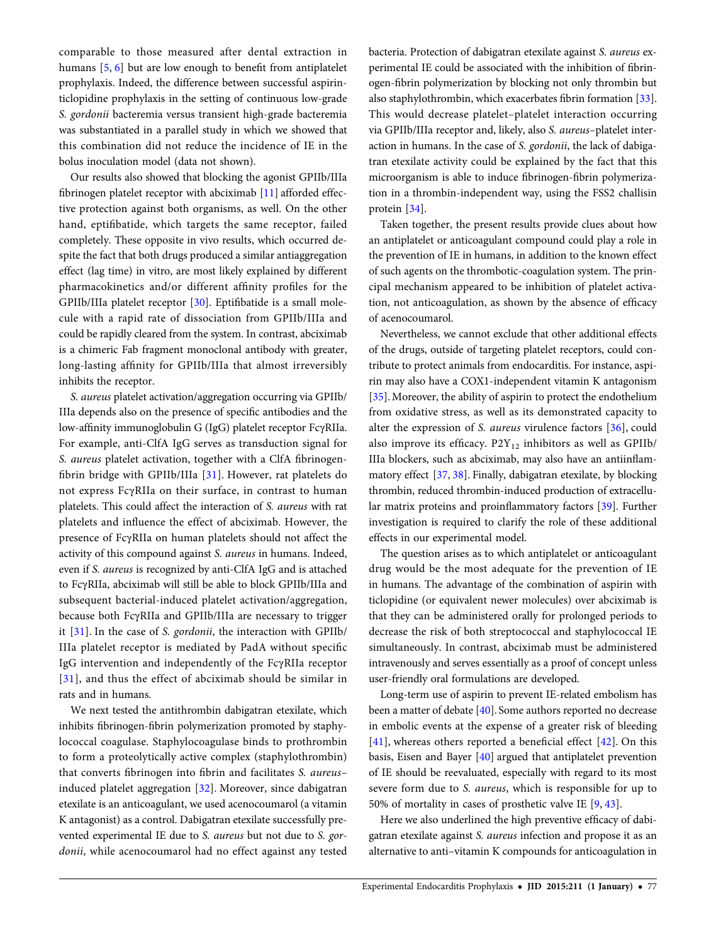comparable to those measured after dental extraction in humans [[5,](#page-6-0) [6\]](#page-6-0) but are low enough to benefit from antiplatelet prophylaxis. Indeed, the difference between successful aspirinticlopidine prophylaxis in the setting of continuous low-grade S. gordonii bacteremia versus transient high-grade bacteremia was substantiated in a parallel study in which we showed that this combination did not reduce the incidence of IE in the bolus inoculation model (data not shown).

Our results also showed that blocking the agonist GPIIb/IIIa fibrinogen platelet receptor with abciximab [[11\]](#page-6-0) afforded effective protection against both organisms, as well. On the other hand, eptifibatide, which targets the same receptor, failed completely. These opposite in vivo results, which occurred despite the fact that both drugs produced a similar antiaggregation effect (lag time) in vitro, are most likely explained by different pharmacokinetics and/or different affinity profiles for the GPIIb/IIIa platelet receptor [[30](#page-7-0)]. Eptifibatide is a small molecule with a rapid rate of dissociation from GPIIb/IIIa and could be rapidly cleared from the system. In contrast, abciximab is a chimeric Fab fragment monoclonal antibody with greater, long-lasting affinity for GPIIb/IIIa that almost irreversibly inhibits the receptor.

S. aureus platelet activation/aggregation occurring via GPIIb/ IIIa depends also on the presence of specific antibodies and the low-affinity immunoglobulin G (IgG) platelet receptor FcγRIIa. For example, anti-ClfA IgG serves as transduction signal for S. aureus platelet activation, together with a ClfA fibrinogenfibrin bridge with GPIIb/IIIa  $[31]$  $[31]$  $[31]$ . However, rat platelets do not express FcγRIIa on their surface, in contrast to human platelets. This could affect the interaction of S. aureus with rat platelets and influence the effect of abciximab. However, the presence of FcγRIIa on human platelets should not affect the activity of this compound against S. aureus in humans. Indeed, even if S. aureus is recognized by anti-ClfA IgG and is attached to FcγRIIa, abciximab will still be able to block GPIIb/IIIa and subsequent bacterial-induced platelet activation/aggregation, because both FcγRIIa and GPIIb/IIIa are necessary to trigger it [\[31\]](#page-7-0). In the case of S. gordonii, the interaction with GPIIb/ IIIa platelet receptor is mediated by PadA without specific IgG intervention and independently of the FcγRIIa receptor [\[31](#page-7-0)], and thus the effect of abciximab should be similar in rats and in humans.

We next tested the antithrombin dabigatran etexilate, which inhibits fibrinogen-fibrin polymerization promoted by staphylococcal coagulase. Staphylocoagulase binds to prothrombin to form a proteolytically active complex (staphylothrombin) that converts fibrinogen into fibrin and facilitates S. aureus– induced platelet aggregation [[32](#page-7-0)]. Moreover, since dabigatran etexilate is an anticoagulant, we used acenocoumarol (a vitamin K antagonist) as a control. Dabigatran etexilate successfully prevented experimental IE due to S. aureus but not due to S. gordonii, while acenocoumarol had no effect against any tested

bacteria. Protection of dabigatran etexilate against S. aureus experimental IE could be associated with the inhibition of fibrinogen-fibrin polymerization by blocking not only thrombin but also staphylothrombin, which exacerbates fibrin formation [\[33\]](#page-7-0). This would decrease platelet–platelet interaction occurring via GPIIb/IIIa receptor and, likely, also S. aureus–platelet interaction in humans. In the case of S. gordonii, the lack of dabigatran etexilate activity could be explained by the fact that this microorganism is able to induce fibrinogen-fibrin polymerization in a thrombin-independent way, using the FSS2 challisin protein [\[34\]](#page-7-0).

Taken together, the present results provide clues about how an antiplatelet or anticoagulant compound could play a role in the prevention of IE in humans, in addition to the known effect of such agents on the thrombotic-coagulation system. The principal mechanism appeared to be inhibition of platelet activation, not anticoagulation, as shown by the absence of efficacy of acenocoumarol.

Nevertheless, we cannot exclude that other additional effects of the drugs, outside of targeting platelet receptors, could contribute to protect animals from endocarditis. For instance, aspirin may also have a COX1-independent vitamin K antagonism [\[35](#page-7-0)]. Moreover, the ability of aspirin to protect the endothelium from oxidative stress, as well as its demonstrated capacity to alter the expression of S. aureus virulence factors [\[36\]](#page-7-0), could also improve its efficacy.  $P2Y_{12}$  inhibitors as well as GPIIb/ IIIa blockers, such as abciximab, may also have an antiinflammatory effect [\[37](#page-7-0), [38\]](#page-7-0). Finally, dabigatran etexilate, by blocking thrombin, reduced thrombin-induced production of extracellular matrix proteins and proinflammatory factors [[39\]](#page-7-0). Further investigation is required to clarify the role of these additional effects in our experimental model.

The question arises as to which antiplatelet or anticoagulant drug would be the most adequate for the prevention of IE in humans. The advantage of the combination of aspirin with ticlopidine (or equivalent newer molecules) over abciximab is that they can be administered orally for prolonged periods to decrease the risk of both streptococcal and staphylococcal IE simultaneously. In contrast, abciximab must be administered intravenously and serves essentially as a proof of concept unless user-friendly oral formulations are developed.

Long-term use of aspirin to prevent IE-related embolism has been a matter of debate [[40\]](#page-7-0). Some authors reported no decrease in embolic events at the expense of a greater risk of bleeding [\[41\]](#page-7-0), whereas others reported a beneficial effect [\[42\]](#page-7-0). On this basis, Eisen and Bayer [[40\]](#page-7-0) argued that antiplatelet prevention of IE should be reevaluated, especially with regard to its most severe form due to S. aureus, which is responsible for up to 50% of mortality in cases of prosthetic valve IE [[9](#page-6-0), [43\]](#page-7-0).

Here we also underlined the high preventive efficacy of dabigatran etexilate against S. aureus infection and propose it as an alternative to anti–vitamin K compounds for anticoagulation in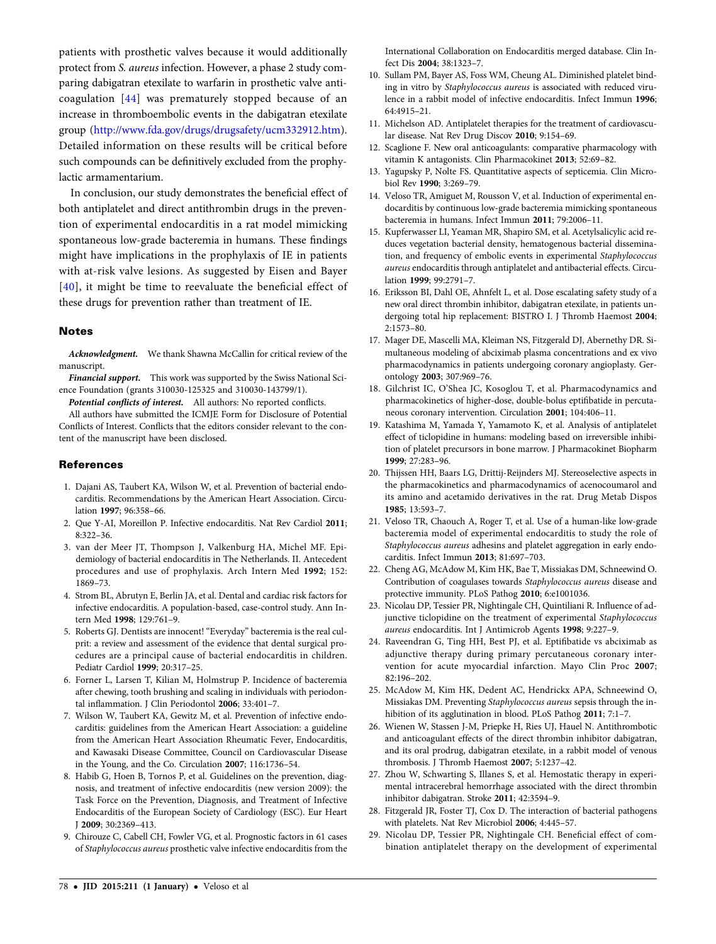<span id="page-6-0"></span>patients with prosthetic valves because it would additionally protect from S. aureus infection. However, a phase 2 study comparing dabigatran etexilate to warfarin in prosthetic valve anticoagulation [[44](#page-7-0)] was prematurely stopped because of an increase in thromboembolic events in the dabigatran etexilate group ([http://www.fda.gov/drugs/drugsafety/ucm332912.htm\)](http://www.fda.gov/drugs/drugsafety/ucm332912.htm). Detailed information on these results will be critical before such compounds can be definitively excluded from the prophylactic armamentarium.

In conclusion, our study demonstrates the beneficial effect of both antiplatelet and direct antithrombin drugs in the prevention of experimental endocarditis in a rat model mimicking spontaneous low-grade bacteremia in humans. These findings might have implications in the prophylaxis of IE in patients with at-risk valve lesions. As suggested by Eisen and Bayer [\[40](#page-7-0)], it might be time to reevaluate the beneficial effect of these drugs for prevention rather than treatment of IE.

#### Notes

Acknowledgment. We thank Shawna McCallin for critical review of the manuscript.

Financial support. This work was supported by the Swiss National Science Foundation (grants 310030-125325 and 310030-143799/1).

Potential conflicts of interest. All authors: No reported conflicts.

All authors have submitted the ICMJE Form for Disclosure of Potential Conflicts of Interest. Conflicts that the editors consider relevant to the content of the manuscript have been disclosed.

#### **References**

- 1. Dajani AS, Taubert KA, Wilson W, et al. Prevention of bacterial endocarditis. Recommendations by the American Heart Association. Circulation 1997; 96:358–66.
- 2. Que Y-AI, Moreillon P. Infective endocarditis. Nat Rev Cardiol 2011; 8:322–36.
- 3. van der Meer JT, Thompson J, Valkenburg HA, Michel MF. Epidemiology of bacterial endocarditis in The Netherlands. II. Antecedent procedures and use of prophylaxis. Arch Intern Med 1992; 152: 1869–73.
- 4. Strom BL, Abrutyn E, Berlin JA, et al. Dental and cardiac risk factors for infective endocarditis. A population-based, case-control study. Ann Intern Med 1998; 129:761–9.
- 5. Roberts GJ. Dentists are innocent! "Everyday" bacteremia is the real culprit: a review and assessment of the evidence that dental surgical procedures are a principal cause of bacterial endocarditis in children. Pediatr Cardiol 1999; 20:317–25.
- 6. Forner L, Larsen T, Kilian M, Holmstrup P. Incidence of bacteremia after chewing, tooth brushing and scaling in individuals with periodontal inflammation. J Clin Periodontol 2006; 33:401–7.
- 7. Wilson W, Taubert KA, Gewitz M, et al. Prevention of infective endocarditis: guidelines from the American Heart Association: a guideline from the American Heart Association Rheumatic Fever, Endocarditis, and Kawasaki Disease Committee, Council on Cardiovascular Disease in the Young, and the Co. Circulation 2007; 116:1736–54.
- 8. Habib G, Hoen B, Tornos P, et al. Guidelines on the prevention, diagnosis, and treatment of infective endocarditis (new version 2009): the Task Force on the Prevention, Diagnosis, and Treatment of Infective Endocarditis of the European Society of Cardiology (ESC). Eur Heart J 2009; 30:2369–413.
- 9. Chirouze C, Cabell CH, Fowler VG, et al. Prognostic factors in 61 cases of Staphylococcus aureus prosthetic valve infective endocarditis from the

International Collaboration on Endocarditis merged database. Clin Infect Dis 2004; 38:1323–7.

- 10. Sullam PM, Bayer AS, Foss WM, Cheung AL. Diminished platelet binding in vitro by Staphylococcus aureus is associated with reduced virulence in a rabbit model of infective endocarditis. Infect Immun 1996; 64:4915–21.
- 11. Michelson AD. Antiplatelet therapies for the treatment of cardiovascular disease. Nat Rev Drug Discov 2010; 9:154–69.
- 12. Scaglione F. New oral anticoagulants: comparative pharmacology with vitamin K antagonists. Clin Pharmacokinet 2013; 52:69–82.
- 13. Yagupsky P, Nolte FS. Quantitative aspects of septicemia. Clin Microbiol Rev 1990; 3:269–79.
- 14. Veloso TR, Amiguet M, Rousson V, et al. Induction of experimental endocarditis by continuous low-grade bacteremia mimicking spontaneous bacteremia in humans. Infect Immun 2011; 79:2006–11.
- 15. Kupferwasser LI, Yeaman MR, Shapiro SM, et al. Acetylsalicylic acid reduces vegetation bacterial density, hematogenous bacterial dissemination, and frequency of embolic events in experimental Staphylococcus aureus endocarditis through antiplatelet and antibacterial effects. Circulation 1999; 99:2791–7.
- 16. Eriksson BI, Dahl OE, Ahnfelt L, et al. Dose escalating safety study of a new oral direct thrombin inhibitor, dabigatran etexilate, in patients undergoing total hip replacement: BISTRO I. J Thromb Haemost 2004; 2:1573–80.
- 17. Mager DE, Mascelli MA, Kleiman NS, Fitzgerald DJ, Abernethy DR. Simultaneous modeling of abciximab plasma concentrations and ex vivo pharmacodynamics in patients undergoing coronary angioplasty. Gerontology 2003; 307:969–76.
- 18. Gilchrist IC, O'Shea JC, Kosoglou T, et al. Pharmacodynamics and pharmacokinetics of higher-dose, double-bolus eptifibatide in percutaneous coronary intervention. Circulation 2001; 104:406–11.
- 19. Katashima M, Yamada Y, Yamamoto K, et al. Analysis of antiplatelet effect of ticlopidine in humans: modeling based on irreversible inhibition of platelet precursors in bone marrow. J Pharmacokinet Biopharm 1999; 27:283–96.
- 20. Thijssen HH, Baars LG, Drittij-Reijnders MJ. Stereoselective aspects in the pharmacokinetics and pharmacodynamics of acenocoumarol and its amino and acetamido derivatives in the rat. Drug Metab Dispos 1985; 13:593–7.
- 21. Veloso TR, Chaouch A, Roger T, et al. Use of a human-like low-grade bacteremia model of experimental endocarditis to study the role of Staphylococcus aureus adhesins and platelet aggregation in early endocarditis. Infect Immun 2013; 81:697–703.
- 22. Cheng AG, McAdow M, Kim HK, Bae T, Missiakas DM, Schneewind O. Contribution of coagulases towards Staphylococcus aureus disease and protective immunity. PLoS Pathog 2010; 6:e1001036.
- 23. Nicolau DP, Tessier PR, Nightingale CH, Quintiliani R. Influence of adjunctive ticlopidine on the treatment of experimental Staphylococcus aureus endocarditis. Int J Antimicrob Agents 1998; 9:227–9.
- 24. Raveendran G, Ting HH, Best PJ, et al. Eptifibatide vs abciximab as adjunctive therapy during primary percutaneous coronary intervention for acute myocardial infarction. Mayo Clin Proc 2007; 82:196–202.
- 25. McAdow M, Kim HK, Dedent AC, Hendrickx APA, Schneewind O, Missiakas DM. Preventing Staphylococcus aureus sepsis through the inhibition of its agglutination in blood. PLoS Pathog 2011; 7:1–7.
- 26. Wienen W, Stassen J-M, Priepke H, Ries UJ, Hauel N. Antithrombotic and anticoagulant effects of the direct thrombin inhibitor dabigatran, and its oral prodrug, dabigatran etexilate, in a rabbit model of venous thrombosis. J Thromb Haemost 2007; 5:1237–42.
- 27. Zhou W, Schwarting S, Illanes S, et al. Hemostatic therapy in experimental intracerebral hemorrhage associated with the direct thrombin inhibitor dabigatran. Stroke 2011; 42:3594–9.
- 28. Fitzgerald JR, Foster TJ, Cox D. The interaction of bacterial pathogens with platelets. Nat Rev Microbiol 2006; 4:445–57.
- 29. Nicolau DP, Tessier PR, Nightingale CH. Beneficial effect of combination antiplatelet therapy on the development of experimental